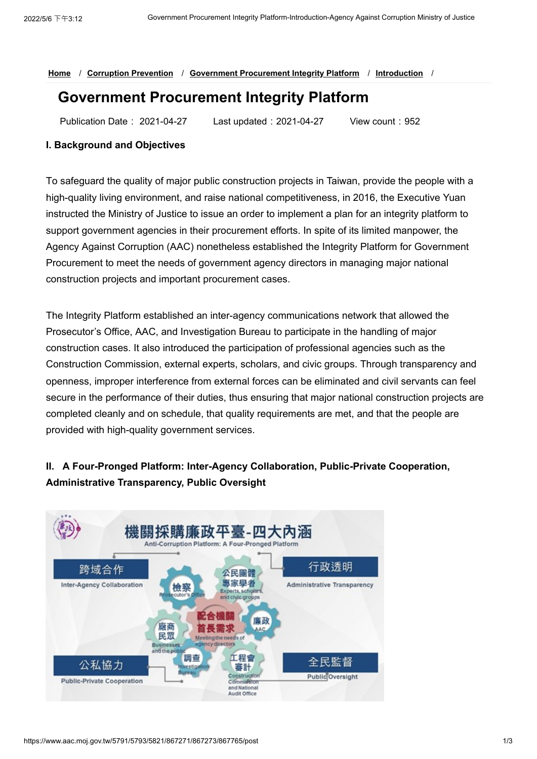### **[Home](https://www.aac.moj.gov.tw/5791/)** / **[Corruption Prevention](https://www.aac.moj.gov.tw/5791/5793/5821/Normalnodelist)** / **[Government Procurement Integrity Platform](https://www.aac.moj.gov.tw/5791/5793/5821/867271/Nodelist)** / **[Introduction](https://www.aac.moj.gov.tw/5791/5793/5821/867271/867273/867765/post)** /

# **Government Procurement Integrity Platform**

Publication Date: 2021-04-27 Last updated:2021-04-27 View count:952

### **I. Background and Objectives**

To safeguard the quality of major public construction projects in Taiwan, provide the people with a high-quality living environment, and raise national competitiveness, in 2016, the Executive Yuan instructed the Ministry of Justice to issue an order to implement a plan for an integrity platform to support government agencies in their procurement efforts. In spite of its limited manpower, the Agency Against Corruption (AAC) nonetheless established the Integrity Platform for Government Procurement to meet the needs of government agency directors in managing major national construction projects and important procurement cases.

The Integrity Platform established an inter-agency communications network that allowed the Prosecutor's Office, AAC, and Investigation Bureau to participate in the handling of major construction cases. It also introduced the participation of professional agencies such as the Construction Commission, external experts, scholars, and civic groups. Through transparency and openness, improper interference from external forces can be eliminated and civil servants can feel secure in the performance of their duties, thus ensuring that major national construction projects are completed cleanly and on schedule, that quality requirements are met, and that the people are provided with high-quality government services.

## **II. A Four-Pronged Platform: Inter-Agency Collaboration, Public-Private Cooperation, Administrative Transparency, Public Oversight**

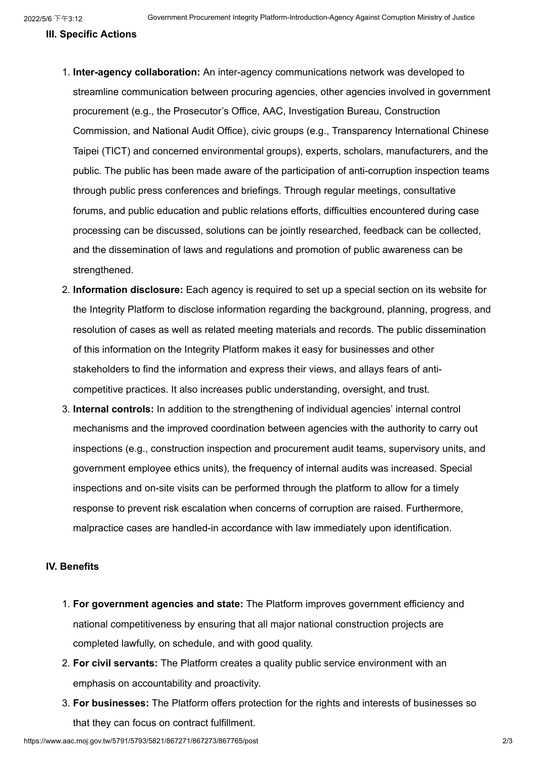#### **III. Specific Actions**

- 1. **Inter-agency collaboration:** An inter-agency communications network was developed to streamline communication between procuring agencies, other agencies involved in government procurement (e.g., the Prosecutor's Office, AAC, Investigation Bureau, Construction Commission, and National Audit Office), civic groups (e.g., Transparency International Chinese Taipei (TICT) and concerned environmental groups), experts, scholars, manufacturers, and the public. The public has been made aware of the participation of anti-corruption inspection teams through public press conferences and briefings. Through regular meetings, consultative forums, and public education and public relations efforts, difficulties encountered during case processing can be discussed, solutions can be jointly researched, feedback can be collected, and the dissemination of laws and regulations and promotion of public awareness can be strengthened.
- 2. **Information disclosure:** Each agency is required to set up a special section on its website for the Integrity Platform to disclose information regarding the background, planning, progress, and resolution of cases as well as related meeting materials and records. The public dissemination of this information on the Integrity Platform makes it easy for businesses and other stakeholders to find the information and express their views, and allays fears of anticompetitive practices. It also increases public understanding, oversight, and trust.
- 3. **Internal controls:** In addition to the strengthening of individual agencies' internal control mechanisms and the improved coordination between agencies with the authority to carry out inspections (e.g., construction inspection and procurement audit teams, supervisory units, and government employee ethics units), the frequency of internal audits was increased. Special inspections and on-site visits can be performed through the platform to allow for a timely response to prevent risk escalation when concerns of corruption are raised. Furthermore, malpractice cases are handled-in accordance with law immediately upon identification.

### **IV. Benefits**

- 1. **For government agencies and state:** The Platform improves government efficiency and national competitiveness by ensuring that all major national construction projects are completed lawfully, on schedule, and with good quality.
- 2. **For civil servants:** The Platform creates a quality public service environment with an emphasis on accountability and proactivity.
- 3. **For businesses:** The Platform offers protection for the rights and interests of businesses so that they can focus on contract fulfillment.